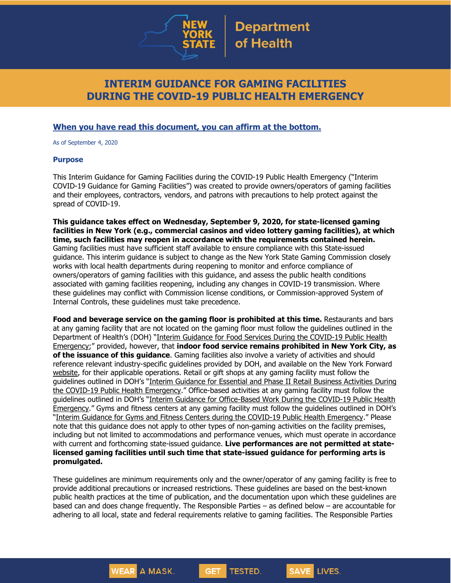

# **INTERIM GUIDANCE FOR GAMING FACILITIES DURING THE COVID-19 PUBLIC HEALTH EMERGENCY**

## **When you have read this document, you can affirm at the bottom.**

As of September 4, 2020

#### **Purpose**

This Interim Guidance for Gaming Facilities during the COVID-19 Public Health Emergency ("Interim COVID-19 Guidance for Gaming Facilities") was created to provide owners/operators of gaming facilities and their employees, contractors, vendors, and patrons with precautions to help protect against the spread of COVID-19.

**This guidance takes effect on Wednesday, September 9, 2020, for state-licensed gaming facilities in New York (e.g., commercial casinos and video lottery gaming facilities), at which time, such facilities may reopen in accordance with the requirements contained herein.** Gaming facilities must have sufficient staff available to ensure compliance with this State-issued guidance. This interim guidance is subject to change as the New York State Gaming Commission closely works with local health departments during reopening to monitor and enforce compliance of owners/operators of gaming facilities with this guidance, and assess the public health conditions associated with gaming facilities reopening, including any changes in COVID-19 transmission. Where these guidelines may conflict with Commission license conditions, or Commission-approved System of Internal Controls, these guidelines must take precedence.

**Food and beverage service on the gaming floor is prohibited at this time.** Restaurants and bars at any gaming facility that are not located on the gaming floor must follow the guidelines outlined in the Department of Health's (DOH) "Interim Guidance for Food Services During the [COVID-19](https://www.governor.ny.gov/sites/governor.ny.gov/files/atoms/files/Indoor_and_Outdoor_Food_Services_Detailed_Guidelines.pdf) Public Health [Emergency;](https://www.governor.ny.gov/sites/governor.ny.gov/files/atoms/files/Indoor_and_Outdoor_Food_Services_Detailed_Guidelines.pdf)" provided, however, that **indoor food service remains prohibited in New York City, as of the issuance of this guidance**. Gaming facilities also involve a variety of activities and should reference relevant industry-specific guidelines provided by DOH, and available on the New York Forward [website,](https://forward.ny.gov/) for their applicable operations. Retail or gift shops at any gaming facility must follow the guidelines outlined in DOH's "Interim [Guidance](https://www.governor.ny.gov/sites/governor.ny.gov/files/atoms/files/RetailMasterGuidance.pdf) for Essential and Phase II Retail Business Activities During the COVID-19 Public Health [Emergency](https://www.governor.ny.gov/sites/governor.ny.gov/files/atoms/files/RetailMasterGuidance.pdf)." Office-based activities at any gaming facility must follow the guidelines outlined in DOH's "Interim Guidance for [Office-Based](https://www.governor.ny.gov/sites/governor.ny.gov/files/atoms/files/offices-interim-guidance.pdf) Work During the COVID-19 Public Health [Emergency](https://www.governor.ny.gov/sites/governor.ny.gov/files/atoms/files/offices-interim-guidance.pdf)." Gyms and fitness centers at any gaming facility must follow the guidelines outlined in DOH's "Interim Guidance for Gyms and Fitness Centers during the COVID-19 Public Health [Emergency](https://www.governor.ny.gov/sites/governor.ny.gov/files/atoms/files/Gyms_and_Fitness_Centers_Detailed_Guidelines.pdf)." Please note that this guidance does not apply to other types of non-gaming activities on the facility premises, including but not limited to accommodations and performance venues, which must operate in accordance with current and forthcoming state-issued guidance. **Live performances are not permitted at statelicensed gaming facilities until such time that state-issued guidance for performing arts is promulgated.**

These guidelines are minimum requirements only and the owner/operator of any gaming facility is free to provide additional precautions or increased restrictions. These guidelines are based on the best-known public health practices at the time of publication, and the documentation upon which these guidelines are based can and does change frequently. The Responsible Parties – as defined below – are accountable for adhering to all local, state and federal requirements relative to gaming facilities. The Responsible Parties

**GET** 

**TESTED.** 

**SAVE LIVES.** 

**WEAR** A MASK.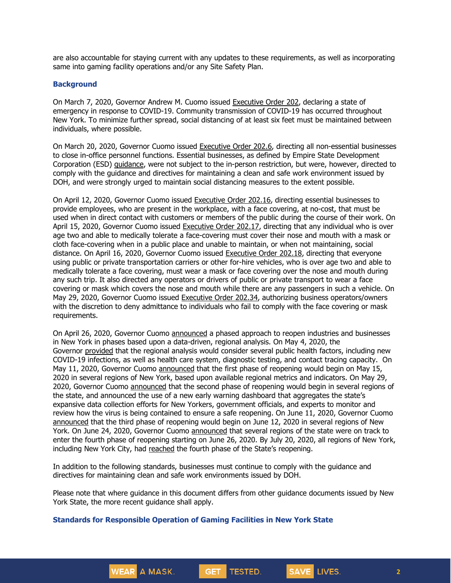are also accountable for staying current with any updates to these requirements, as well as incorporating same into gaming facility operations and/or any Site Safety Plan.

#### **Background**

On March 7, 2020, Governor Andrew M. Cuomo issued [Executive](https://www.governor.ny.gov/news/no-202-declaring-disaster-emergency-state-new-york) Order 202, declaring a state of emergency in response to COVID-19. Community transmission of COVID-19 has occurred throughout New York. To minimize further spread, social distancing of at least six feet must be maintained between individuals, where possible.

On March 20, 2020, Governor Cuomo issued [Executive](https://www.governor.ny.gov/news/no-2026-continuing-temporary-suspension-and-modification-laws-relating-disaster-emergency) Order 202.6, directing all non-essential businesses to close in-office personnel functions. Essential businesses, as defined by Empire State Development Corporation (ESD) [guidance,](https://esd.ny.gov/guidance-executive-order-2026) were not subject to the in-person restriction, but were, however, directed to comply with the guidance and directives for maintaining a clean and safe work environment issued by DOH, and were strongly urged to maintain social distancing measures to the extent possible.

On April 12, 2020, Governor Cuomo issued [Executive](https://www.governor.ny.gov/news/no-20216-continuing-temporary-suspension-and-modification-laws-relating-disaster-emergency) Order 202.16, directing essential businesses to provide employees, who are present in the workplace, with a face covering, at no-cost, that must be used when in direct contact with customers or members of the public during the course of their work. On April 15, 2020, Governor Cuomo issued [Executive](https://www.governor.ny.gov/news/no-20217-continuing-temporary-suspension-and-modification-laws-relating-disaster-emergency) Order 202.17, directing that any individual who is over age two and able to medically tolerate a face-covering must cover their nose and mouth with a mask or cloth face-covering when in a public place and unable to maintain, or when not maintaining, social distance. On April 16, 2020, Governor Cuomo issued [Executive](https://www.governor.ny.gov/news/no-20218-continuing-temporary-suspension-and-modification-laws-relating-disaster-emergency) Order 202.18, directing that everyone using public or private transportation carriers or other for-hire vehicles, who is over age two and able to medically tolerate a face covering, must wear a mask or face covering over the nose and mouth during any such trip. It also directed any operators or drivers of public or private transport to wear a face covering or mask which covers the nose and mouth while there are any passengers in such a vehicle. On May 29, 2020, Governor Cuomo issued [Executive](https://www.governor.ny.gov/news/no-20234-continuing-temporary-suspension-and-modification-laws-relating-disaster-emergency) Order 202.34, authorizing business operators/owners with the discretion to deny admittance to individuals who fail to comply with the face covering or mask requirements.

On April 26, 2020, Governor Cuomo [announced](https://www.governor.ny.gov/news/amid-ongoing-covid-19-pandemic-governor-cuomo-outlines-phased-plan-re-open-new-york-starting) a phased approach to reopen industries and businesses in New York in phases based upon a data-driven, regional analysis. On May 4, 2020, the Governor [provided](https://www.governor.ny.gov/news/amid-ongoing-covid-19-pandemic-governor-cuomo-outlines-additional-guidelines-when-regions-can) that the regional analysis would consider several public health factors, including new COVID-19 infections, as well as health care system, diagnostic testing, and contact tracing capacity. On May 11, 2020, Governor Cuomo [announced](https://www.governor.ny.gov/news/amid-ongoing-covid-19-pandemic-governor-cuomo-announces-three-regions-new-york-state-ready) that the first phase of reopening would begin on May 15, 2020 in several regions of New York, based upon available regional metrics and indicators. On May 29, 2020, Governor Cuomo [announced](https://www.governor.ny.gov/news/governor-cuomo-announces-new-york-city-enter-phase-1-reopening-june-8-and-five-regions-enter) that the second phase of reopening would begin in several regions of the state, and announced the use of a new early warning dashboard that aggregates the state's expansive data collection efforts for New Yorkers, government officials, and experts to monitor and review how the virus is being contained to ensure a safe reopening. On June 11, 2020, Governor Cuomo [announced](https://www.governor.ny.gov/news/governor-cuomo-announces-five-regions-will-enter-phase-three-reopening-tomorrow) that the third phase of reopening would begin on June 12, 2020 in several regions of New York. On June 24, 2020, Governor Cuomo [announced](https://www.governor.ny.gov/news/governor-cuomo-announces-five-regions-track-enter-phase-iv-reopening-friday) that several regions of the state were on track to enter the fourth phase of reopening starting on June 26, 2020. By July 20, 2020, all regions of New York, including New York City, had [reached](https://www.governor.ny.gov/news/governor-cuomo-announces-new-york-city-cleared-global-health-experts-enter-phase-four-reopening) the fourth phase of the State's reopening.

In addition to the following standards, businesses must continue to comply with the guidance and directives for maintaining clean and safe work environments issued by DOH.

**GET** 

TESTED.

Please note that where guidance in this document differs from other guidance documents issued by New York State, the more recent guidance shall apply.

#### **Standards for Responsible Operation of Gaming Facilities in New York State**

WEAR A MASK.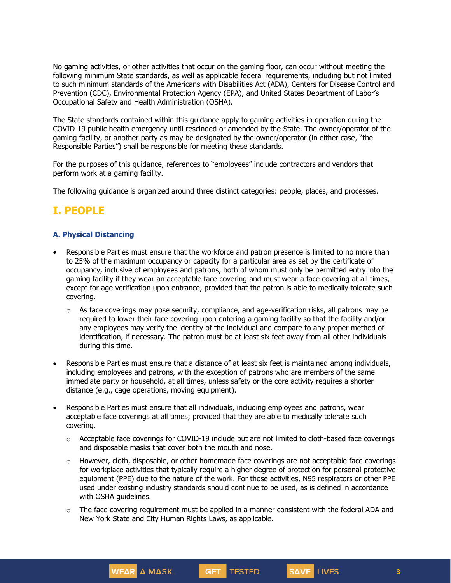No gaming activities, or other activities that occur on the gaming floor, can occur without meeting the following minimum State standards, as well as applicable federal requirements, including but not limited to such minimum standards of the Americans with Disabilities Act (ADA), Centers for Disease Control and Prevention (CDC), Environmental Protection Agency (EPA), and United States Department of Labor's Occupational Safety and Health Administration (OSHA).

The State standards contained within this guidance apply to gaming activities in operation during the COVID-19 public health emergency until rescinded or amended by the State. The owner/operator of the gaming facility, or another party as may be designated by the owner/operator (in either case, "the Responsible Parties") shall be responsible for meeting these standards.

For the purposes of this guidance, references to "employees" include contractors and vendors that perform work at a gaming facility.

The following guidance is organized around three distinct categories: people, places, and processes.

# **I. PEOPLE**

### **A. Physical Distancing**

- Responsible Parties must ensure that the workforce and patron presence is limited to no more than to 25% of the maximum occupancy or capacity for a particular area as set by the certificate of occupancy, inclusive of employees and patrons, both of whom must only be permitted entry into the gaming facility if they wear an acceptable face covering and must wear a face covering at all times, except for age verification upon entrance, provided that the patron is able to medically tolerate such covering.
	- $\circ$  As face coverings may pose security, compliance, and age-verification risks, all patrons may be required to lower their face covering upon entering a gaming facility so that the facility and/or any employees may verify the identity of the individual and compare to any proper method of identification, if necessary. The patron must be at least six feet away from all other individuals during this time.
- Responsible Parties must ensure that a distance of at least six feet is maintained among individuals, including employees and patrons, with the exception of patrons who are members of the same immediate party or household, at all times, unless safety or the core activity requires a shorter distance (e.g., cage operations, moving equipment).
- Responsible Parties must ensure that all individuals, including employees and patrons, wear acceptable face coverings at all times; provided that they are able to medically tolerate such covering.

WEAR A MASK.

- $\circ$  Acceptable face coverings for COVID-19 include but are not limited to cloth-based face coverings and disposable masks that cover both the mouth and nose.
- o However, cloth, disposable, or other homemade face coverings are not acceptable face coverings for workplace activities that typically require a higher degree of protection for personal protective equipment (PPE) due to the nature of the work. For those activities, N95 respirators or other PPE used under existing industry standards should continue to be used, as is defined in accordance with OSHA [guidelines.](https://www.osha.gov/SLTC/personalprotectiveequipment/)
- $\circ$  The face covering requirement must be applied in a manner consistent with the federal ADA and New York State and City Human Rights Laws, as applicable.

GET TESTED.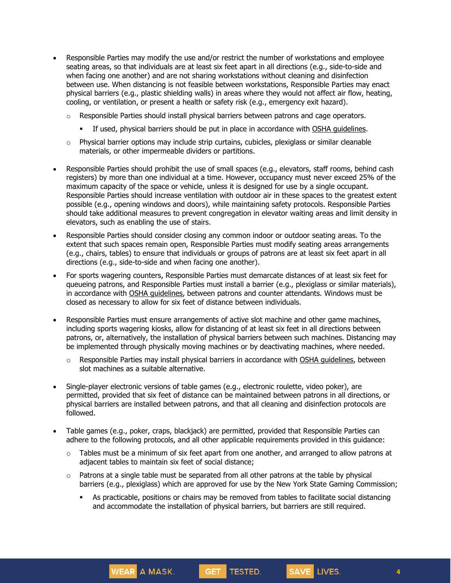- Responsible Parties may modify the use and/or restrict the number of workstations and employee seating areas, so that individuals are at least six feet apart in all directions (e.g., side-to-side and when facing one another) and are not sharing workstations without cleaning and disinfection between use. When distancing is not feasible between workstations, Responsible Parties may enact physical barriers (e.g., plastic shielding walls) in areas where they would not affect air flow, heating, cooling, or ventilation, or present a health or safety risk (e.g., emergency exit hazard).
	- $\circ$  Responsible Parties should install physical barriers between patrons and cage operators.
		- **•** If used, physical barriers should be put in place in accordance with OSHA quidelines.
	- o Physical barrier options may include strip curtains, cubicles, plexiglass or similar cleanable materials, or other impermeable dividers or partitions.
- Responsible Parties should prohibit the use of small spaces (e.g., elevators, staff rooms, behind cash registers) by more than one individual at a time. However, occupancy must never exceed 25% of the maximum capacity of the space or vehicle, unless it is designed for use by a single occupant. Responsible Parties should increase ventilation with outdoor air in these spaces to the greatest extent possible (e.g., opening windows and doors), while maintaining safety protocols. Responsible Parties should take additional measures to prevent congregation in elevator waiting areas and limit density in elevators, such as enabling the use of stairs.
- Responsible Parties should consider closing any common indoor or outdoor seating areas. To the extent that such spaces remain open, Responsible Parties must modify seating areas arrangements (e.g., chairs, tables) to ensure that individuals or groups of patrons are at least six feet apart in all directions (e.g., side-to-side and when facing one another).
- For sports wagering counters, Responsible Parties must demarcate distances of at least six feet for queueing patrons, and Responsible Parties must install a barrier (e.g., plexiglass or similar materials), in accordance with OSHA [guidelines,](https://www.osha.gov/Publications/OSHA3990.pdf) between patrons and counter attendants. Windows must be closed as necessary to allow for six feet of distance between individuals.
- Responsible Parties must ensure arrangements of active slot machine and other game machines, including sports wagering kiosks, allow for distancing of at least six feet in all directions between patrons, or, alternatively, the installation of physical barriers between such machines. Distancing may be implemented through physically moving machines or by deactivating machines, where needed.
	- o Responsible Parties may install physical barriers in accordance with OSHA [guidelines,](https://www.osha.gov/Publications/OSHA3990.pdf) between slot machines as a suitable alternative.
- Single-player electronic versions of table games (e.g., electronic roulette, video poker), are permitted, provided that six feet of distance can be maintained between patrons in all directions, or physical barriers are installed between patrons, and that all cleaning and disinfection protocols are followed.
- Table games (e.g., poker, craps, blackjack) are permitted, provided that Responsible Parties can adhere to the following protocols, and all other applicable requirements provided in this guidance:

**WEAR** A MASK.

- $\circ$  Tables must be a minimum of six feet apart from one another, and arranged to allow patrons at adjacent tables to maintain six feet of social distance;
- $\circ$  Patrons at a single table must be separated from all other patrons at the table by physical barriers (e.g., plexiglass) which are approved for use by the New York State Gaming Commission;
	- **•** As practicable, positions or chairs may be removed from tables to facilitate social distancing and accommodate the installation of physical barriers, but barriers are still required.

GET TESTED.

**4**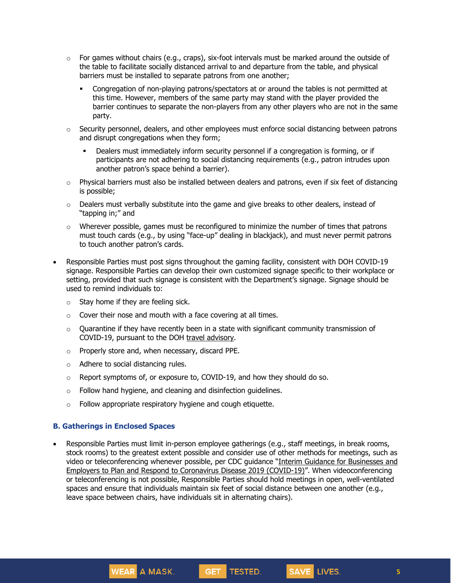- $\circ$  For games without chairs (e.g., craps), six-foot intervals must be marked around the outside of the table to facilitate socially distanced arrival to and departure from the table, and physical barriers must be installed to separate patrons from one another;
	- **•** Congregation of non-playing patrons/spectators at or around the tables is not permitted at this time. However, members of the same party may stand with the player provided the barrier continues to separate the non-players from any other players who are not in the same party.
- $\circ$  Security personnel, dealers, and other employees must enforce social distancing between patrons and disrupt congregations when they form;
	- Dealers must immediately inform security personnel if a congregation is forming, or if participants are not adhering to social distancing requirements (e.g., patron intrudes upon another patron's space behind a barrier).
- $\circ$  Physical barriers must also be installed between dealers and patrons, even if six feet of distancing is possible;
- $\circ$  Dealers must verbally substitute into the game and give breaks to other dealers, instead of "tapping in;" and
- $\circ$  Wherever possible, games must be reconfigured to minimize the number of times that patrons must touch cards (e.g., by using "face-up" dealing in blackjack), and must never permit patrons to touch another patron's cards.
- Responsible Parties must post signs throughout the gaming facility, consistent with DOH COVID-19 signage. Responsible Parties can develop their own customized signage specific to their workplace or setting, provided that such signage is consistent with the Department's signage. Signage should be used to remind individuals to:
	- $\circ$  Stay home if they are feeling sick.
	- $\circ$  Cover their nose and mouth with a face covering at all times.
	- $\circ$  Quarantine if they have recently been in a state with significant community transmission of COVID-19, pursuant to the DOH travel [advisory.](https://coronavirus.health.ny.gov/covid-19-travel-advisory)
	- o Properly store and, when necessary, discard PPE.

WEAR A MASK.

- o Adhere to social distancing rules.
- $\circ$  Report symptoms of, or exposure to, COVID-19, and how they should do so.
- $\circ$  Follow hand hygiene, and cleaning and disinfection guidelines.
- $\circ$  Follow appropriate respiratory hygiene and cough etiquette.

#### **B. Gatherings in Enclosed Spaces**

Responsible Parties must limit in-person employee gatherings (e.g., staff meetings, in break rooms, stock rooms) to the greatest extent possible and consider use of other methods for meetings, such as video or teleconferencing whenever possible, per CDC guidance "Interim Guidance for [Businesses](https://www.cdc.gov/coronavirus/2019-ncov/community/guidance-business-response.html) and Employers to Plan and Respond to [Coronavirus](https://www.cdc.gov/coronavirus/2019-ncov/community/guidance-business-response.html) Disease 2019 (COVID-19)". When videoconferencing or teleconferencing is not possible, Responsible Parties should hold meetings in open, well-ventilated spaces and ensure that individuals maintain six feet of social distance between one another (e.g., leave space between chairs, have individuals sit in alternating chairs).

GET TESTED.

SAVE LIVES.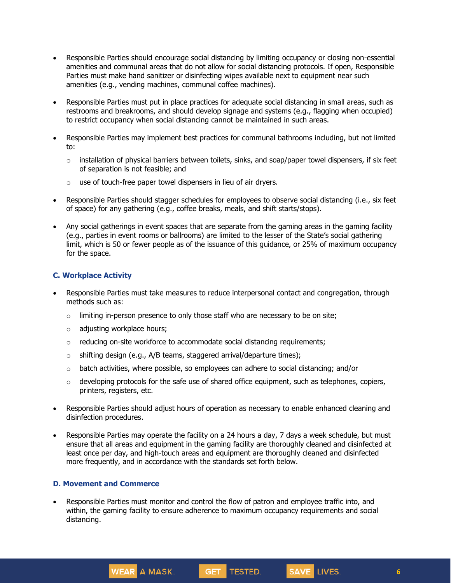- Responsible Parties should encourage social distancing by limiting occupancy or closing non-essential amenities and communal areas that do not allow for social distancing protocols. If open, Responsible Parties must make hand sanitizer or disinfecting wipes available next to equipment near such amenities (e.g., vending machines, communal coffee machines).
- Responsible Parties must put in place practices for adequate social distancing in small areas, such as restrooms and breakrooms, and should develop signage and systems (e.g., flagging when occupied) to restrict occupancy when social distancing cannot be maintained in such areas.
- Responsible Parties may implement best practices for communal bathrooms including, but not limited to:
	- $\circ$  installation of physical barriers between toilets, sinks, and soap/paper towel dispensers, if six feet of separation is not feasible; and
	- $\circ$  use of touch-free paper towel dispensers in lieu of air dryers.
- Responsible Parties should stagger schedules for employees to observe social distancing (i.e., six feet of space) for any gathering (e.g., coffee breaks, meals, and shift starts/stops).
- Any social gatherings in event spaces that are separate from the gaming areas in the gaming facility (e.g., parties in event rooms or ballrooms) are limited to the lesser of the State's social gathering limit, which is 50 or fewer people as of the issuance of this guidance, or 25% of maximum occupancy for the space.

### **C. Workplace Activity**

- Responsible Parties must take measures to reduce interpersonal contact and congregation, through methods such as:
	- $\circ$  limiting in-person presence to only those staff who are necessary to be on site;
	- o adjusting workplace hours;
	- $\circ$  reducing on-site workforce to accommodate social distancing requirements;
	- $\circ$  shifting design (e.g., A/B teams, staggered arrival/departure times);
	- $\circ$  batch activities, where possible, so employees can adhere to social distancing; and/or
	- $\circ$  developing protocols for the safe use of shared office equipment, such as telephones, copiers, printers, registers, etc.
- Responsible Parties should adjust hours of operation as necessary to enable enhanced cleaning and disinfection procedures.
- Responsible Parties may operate the facility on a 24 hours a day, 7 days a week schedule, but must ensure that all areas and equipment in the gaming facility are thoroughly cleaned and disinfected at least once per day, and high-touch areas and equipment are thoroughly cleaned and disinfected more frequently, and in accordance with the standards set forth below.

#### **D. Movement and Commerce**

WEAR A MASK.

• Responsible Parties must monitor and control the flow of patron and employee traffic into, and within, the gaming facility to ensure adherence to maximum occupancy requirements and social distancing.

GET TESTED.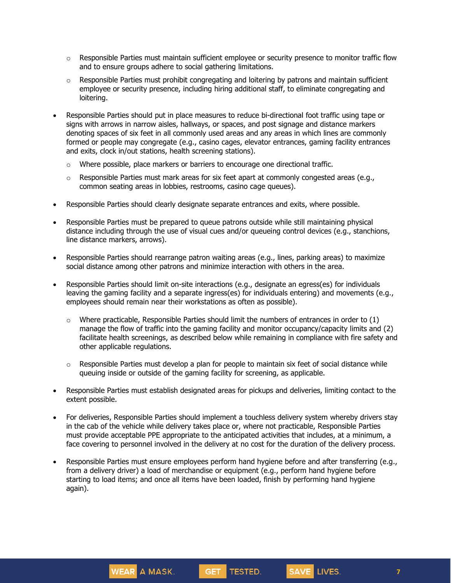- $\circ$  Responsible Parties must maintain sufficient employee or security presence to monitor traffic flow and to ensure groups adhere to social gathering limitations.
- $\circ$  Responsible Parties must prohibit congregating and loitering by patrons and maintain sufficient employee or security presence, including hiring additional staff, to eliminate congregating and loitering.
- Responsible Parties should put in place measures to reduce bi-directional foot traffic using tape or signs with arrows in narrow aisles, hallways, or spaces, and post signage and distance markers denoting spaces of six feet in all commonly used areas and any areas in which lines are commonly formed or people may congregate (e.g., casino cages, elevator entrances, gaming facility entrances and exits, clock in/out stations, health screening stations).
	- $\circ$  Where possible, place markers or barriers to encourage one directional traffic.
	- $\circ$  Responsible Parties must mark areas for six feet apart at commonly congested areas (e.g., common seating areas in lobbies, restrooms, casino cage queues).
- Responsible Parties should clearly designate separate entrances and exits, where possible.
- Responsible Parties must be prepared to queue patrons outside while still maintaining physical distance including through the use of visual cues and/or queueing control devices (e.g., stanchions, line distance markers, arrows).
- Responsible Parties should rearrange patron waiting areas (e.g., lines, parking areas) to maximize social distance among other patrons and minimize interaction with others in the area.
- Responsible Parties should limit on-site interactions (e.g., designate an egress(es) for individuals leaving the gaming facility and a separate ingress(es) for individuals entering) and movements (e.g., employees should remain near their workstations as often as possible).
	- $\circ$  Where practicable, Responsible Parties should limit the numbers of entrances in order to (1) manage the flow of traffic into the gaming facility and monitor occupancy/capacity limits and (2) facilitate health screenings, as described below while remaining in compliance with fire safety and other applicable regulations.
	- o Responsible Parties must develop a plan for people to maintain six feet of social distance while queuing inside or outside of the gaming facility for screening, as applicable.
- Responsible Parties must establish designated areas for pickups and deliveries, limiting contact to the extent possible.
- For deliveries, Responsible Parties should implement a touchless delivery system whereby drivers stay in the cab of the vehicle while delivery takes place or, where not practicable, Responsible Parties must provide acceptable PPE appropriate to the anticipated activities that includes, at a minimum, a face covering to personnel involved in the delivery at no cost for the duration of the delivery process.
- Responsible Parties must ensure employees perform hand hygiene before and after transferring (e.g., from a delivery driver) a load of merchandise or equipment (e.g., perform hand hygiene before starting to load items; and once all items have been loaded, finish by performing hand hygiene again).

GET TESTED.

SAVE LIVES.

WEAR A MASK.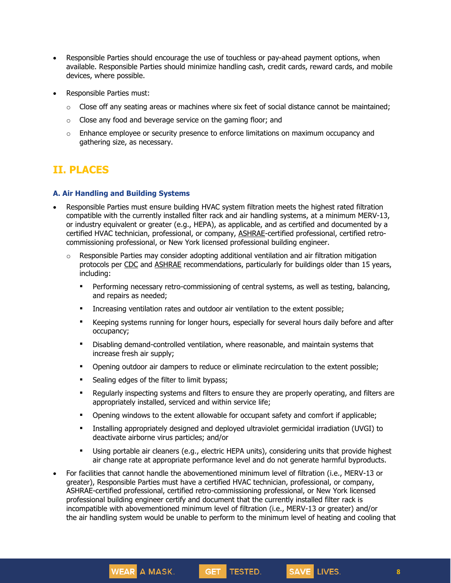- Responsible Parties should encourage the use of touchless or pay-ahead payment options, when available. Responsible Parties should minimize handling cash, credit cards, reward cards, and mobile devices, where possible.
- Responsible Parties must:
	- $\circ$  Close off any seating areas or machines where six feet of social distance cannot be maintained;
	- $\circ$  Close any food and beverage service on the gaming floor; and
	- $\circ$  Enhance employee or security presence to enforce limitations on maximum occupancy and gathering size, as necessary.

# **II. PLACES**

#### **A. Air Handling and Building Systems**

- Responsible Parties must ensure building HVAC system filtration meets the highest rated filtration compatible with the currently installed filter rack and air handling systems, at a minimum MERV-13, or industry equivalent or greater (e.g., HEPA), as applicable, and as certified and documented by a certified HVAC technician, professional, or company, [ASHRAE-](https://www.ashrae.org/about/news/2020/ashrae-offers-covid-19-building-readiness-reopening-guidance)certified professional, certified retrocommissioning professional, or New York licensed professional building engineer.
	- $\circ$  Responsible Parties may consider adopting additional ventilation and air filtration mitigation protocols per [CDC](https://www.cdc.gov/coronavirus/2019-ncov/community/guidance-business-response.html) and [ASHRAE](https://www.ashrae.org/technical-resources/resources) recommendations, particularly for buildings older than 15 years, including:
		- **•** Performing necessary retro-commissioning of central systems, as well as testing, balancing, and repairs as needed;
		- **•** Increasing ventilation rates and outdoor air ventilation to the extent possible;
		- Keeping systems running for longer hours, especially for several hours daily before and after occupancy;
		- **■** Disabling demand-controlled ventilation, where reasonable, and maintain systems that increase fresh air supply;
		- **•** Opening outdoor air dampers to reduce or eliminate recirculation to the extent possible;
		- **•** Sealing edges of the filter to limit bypass;

WEAR A MASK.

- Regularly inspecting systems and filters to ensure they are properly operating, and filters are appropriately installed, serviced and within service life;
- **•** Opening windows to the extent allowable for occupant safety and comfort if applicable;
- Installing appropriately designed and deployed ultraviolet germicidal irradiation (UVGI) to deactivate airborne virus particles; and/or
- **■** Using portable air cleaners (e.g., electric HEPA units), considering units that provide highest air change rate at appropriate performance level and do not generate harmful byproducts.

GET TESTED.

SAVE LIVES.

• For facilities that cannot handle the abovementioned minimum level of filtration (i.e., MERV-13 or greater), Responsible Parties must have a certified HVAC technician, professional, or company, ASHRAE-certified professional, certified retro-commissioning professional, or New York licensed professional building engineer certify and document that the currently installed filter rack is incompatible with abovementioned minimum level of filtration (i.e., MERV-13 or greater) and/or the air handling system would be unable to perform to the minimum level of heating and cooling that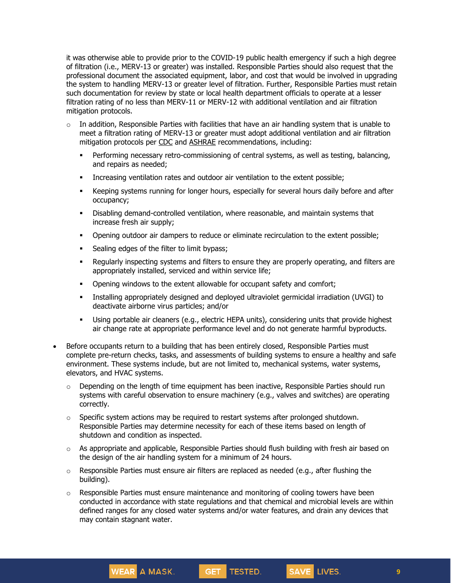it was otherwise able to provide prior to the COVID-19 public health emergency if such a high degree of filtration (i.e., MERV-13 or greater) was installed. Responsible Parties should also request that the professional document the associated equipment, labor, and cost that would be involved in upgrading the system to handling MERV-13 or greater level of filtration. Further, Responsible Parties must retain such documentation for review by state or local health department officials to operate at a lesser filtration rating of no less than MERV-11 or MERV-12 with additional ventilation and air filtration mitigation protocols.

- $\circ$  In addition, Responsible Parties with facilities that have an air handling system that is unable to meet a filtration rating of MERV-13 or greater must adopt additional ventilation and air filtration mitigation protocols per [CDC](https://www.cdc.gov/coronavirus/2019-ncov/community/guidance-business-response.html) and [ASHRAE](https://www.ashrae.org/technical-resources/resources) recommendations, including:
	- **•** Performing necessary retro-commissioning of central systems, as well as testing, balancing, and repairs as needed;
	- **•** Increasing ventilation rates and outdoor air ventilation to the extent possible;
	- **•** Keeping systems running for longer hours, especially for several hours daily before and after occupancy;
	- Disabling demand-controlled ventilation, where reasonable, and maintain systems that increase fresh air supply;
	- Opening outdoor air dampers to reduce or eliminate recirculation to the extent possible;
	- **•** Sealing edges of the filter to limit bypass;

WEAR A MASK.

- Regularly inspecting systems and filters to ensure they are properly operating, and filters are appropriately installed, serviced and within service life;
- **•** Opening windows to the extent allowable for occupant safety and comfort;
- Installing appropriately designed and deployed ultraviolet germicidal irradiation (UVGI) to deactivate airborne virus particles; and/or
- Using portable air cleaners (e.g., electric HEPA units), considering units that provide highest air change rate at appropriate performance level and do not generate harmful byproducts.
- Before occupants return to a building that has been entirely closed, Responsible Parties must complete pre-return checks, tasks, and assessments of building systems to ensure a healthy and safe environment. These systems include, but are not limited to, mechanical systems, water systems, elevators, and HVAC systems.
	- $\circ$  Depending on the length of time equipment has been inactive, Responsible Parties should run systems with careful observation to ensure machinery (e.g., valves and switches) are operating correctly.
	- $\circ$  Specific system actions may be required to restart systems after prolonged shutdown. Responsible Parties may determine necessity for each of these items based on length of shutdown and condition as inspected.
	- $\circ$  As appropriate and applicable, Responsible Parties should flush building with fresh air based on the design of the air handling system for a minimum of 24 hours.
	- $\circ$  Responsible Parties must ensure air filters are replaced as needed (e.g., after flushing the building).
	- $\circ$  Responsible Parties must ensure maintenance and monitoring of cooling towers have been conducted in accordance with state regulations and that chemical and microbial levels are within defined ranges for any closed water systems and/or water features, and drain any devices that may contain stagnant water.

GET TESTED.

SAVE LIVES.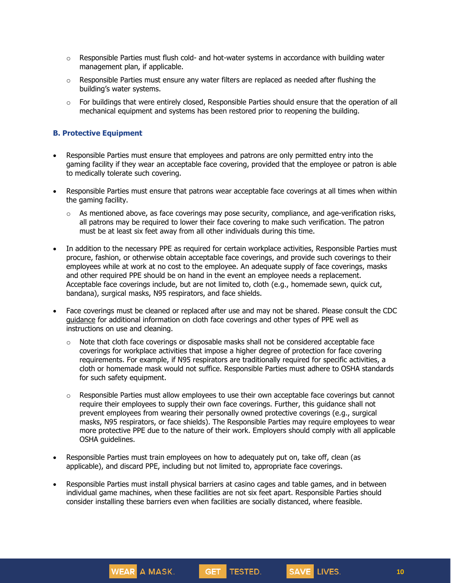- $\circ$  Responsible Parties must flush cold- and hot-water systems in accordance with building water management plan, if applicable.
- $\circ$  Responsible Parties must ensure any water filters are replaced as needed after flushing the building's water systems.
- $\circ$  For buildings that were entirely closed, Responsible Parties should ensure that the operation of all mechanical equipment and systems has been restored prior to reopening the building.

### **B. Protective Equipment**

- Responsible Parties must ensure that employees and patrons are only permitted entry into the gaming facility if they wear an acceptable face covering, provided that the employee or patron is able to medically tolerate such covering.
- Responsible Parties must ensure that patrons wear acceptable face coverings at all times when within the gaming facility.
	- $\circ$  As mentioned above, as face coverings may pose security, compliance, and age-verification risks, all patrons may be required to lower their face covering to make such verification. The patron must be at least six feet away from all other individuals during this time.
- In addition to the necessary PPE as required for certain workplace activities, Responsible Parties must procure, fashion, or otherwise obtain acceptable face coverings, and provide such coverings to their employees while at work at no cost to the employee. An adequate supply of face coverings, masks and other required PPE should be on hand in the event an employee needs a replacement. Acceptable face coverings include, but are not limited to, cloth (e.g., homemade sewn, quick cut, bandana), surgical masks, N95 respirators, and face shields.
- Face coverings must be cleaned or replaced after use and may not be shared. Please consult the CDC [guidance](https://www.cdc.gov/coronavirus/2019-ncov/community/guidance-business-response.html) for additional information on cloth face coverings and other types of PPE well as instructions on use and cleaning.
	- $\circ$  Note that cloth face coverings or disposable masks shall not be considered acceptable face coverings for workplace activities that impose a higher degree of protection for face covering requirements. For example, if N95 respirators are traditionally required for specific activities, a cloth or homemade mask would not suffice. Responsible Parties must adhere to OSHA standards for such safety equipment.
	- $\circ$  Responsible Parties must allow employees to use their own acceptable face coverings but cannot require their employees to supply their own face coverings. Further, this guidance shall not prevent employees from wearing their personally owned protective coverings (e.g., surgical masks, N95 respirators, or face shields). The Responsible Parties may require employees to wear more protective PPE due to the nature of their work. Employers should comply with all applicable OSHA guidelines.
- Responsible Parties must train employees on how to adequately put on, take off, clean (as applicable), and discard PPE, including but not limited to, appropriate face coverings.

WEAR A MASK.

• Responsible Parties must install physical barriers at casino cages and table games, and in between individual game machines, when these facilities are not six feet apart. Responsible Parties should consider installing these barriers even when facilities are socially distanced, where feasible.

GET TESTED.

SAVE LIVES.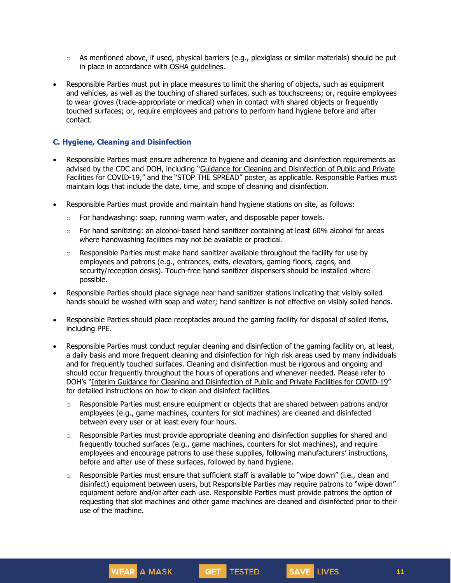- $\circ$  As mentioned above, if used, physical barriers (e.g., plexiglass or similar materials) should be put in place in accordance with OSHA [guidelines.](https://www.osha.gov/Publications/OSHA3990.pdf)
- Responsible Parties must put in place measures to limit the sharing of objects, such as equipment and vehicles, as well as the touching of shared surfaces, such as touchscreens; or, require employees to wear gloves (trade-appropriate or medical) when in contact with shared objects or frequently touched surfaces; or, require employees and patrons to perform hand hygiene before and after contact.

### **C. Hygiene, Cleaning and Disinfection**

- Responsible Parties must ensure adherence to hygiene and cleaning and disinfection requirements as advised by the CDC and DOH, including "Guidance for Cleaning and [Disinfection](https://coronavirus.health.ny.gov/system/files/documents/2020/08/interim-guidance-public-and-private-facilities_1.pdf) of Public and Private Facilities for [COVID-19](https://coronavirus.health.ny.gov/system/files/documents/2020/08/interim-guidance-public-and-private-facilities_1.pdf)," and the "STOP THE [SPREAD](https://coronavirus.health.ny.gov/system/files/documents/2020/04/13067_coronavirus_protectyourself_poster_042020.pdf)" poster, as applicable. Responsible Parties must maintain logs that include the date, time, and scope of cleaning and disinfection.
- Responsible Parties must provide and maintain hand hygiene stations on site, as follows:
	- $\circ$  For handwashing: soap, running warm water, and disposable paper towels.
	- $\circ$  For hand sanitizing: an alcohol-based hand sanitizer containing at least 60% alcohol for areas where handwashing facilities may not be available or practical.
	- $\circ$  Responsible Parties must make hand sanitizer available throughout the facility for use by employees and patrons (e.g., entrances, exits, elevators, gaming floors, cages, and security/reception desks). Touch-free hand sanitizer dispensers should be installed where possible.
- Responsible Parties should place signage near hand sanitizer stations indicating that visibly soiled hands should be washed with soap and water; hand sanitizer is not effective on visibly soiled hands.
- Responsible Parties should place receptacles around the gaming facility for disposal of soiled items, including PPE.
- Responsible Parties must conduct regular cleaning and disinfection of the gaming facility on, at least, a daily basis and more frequent cleaning and disinfection for high risk areas used by many individuals and for frequently touched surfaces. Cleaning and disinfection must be rigorous and ongoing and should occur frequently throughout the hours of operations and whenever needed. Please refer to DOH's "Interim Guidance for Cleaning and [Disinfection](https://coronavirus.health.ny.gov/system/files/documents/2020/08/interim-guidance-public-and-private-facilities_1.pdf) of Public and Private Facilities for COVID-19" for detailed instructions on how to clean and disinfect facilities.
	- $\circ$  Responsible Parties must ensure equipment or objects that are shared between patrons and/or employees (e.g., game machines, counters for slot machines) are cleaned and disinfected between every user or at least every four hours.
	- $\circ$  Responsible Parties must provide appropriate cleaning and disinfection supplies for shared and frequently touched surfaces (e.g., game machines, counters for slot machines), and require employees and encourage patrons to use these supplies, following manufacturers' instructions, before and after use of these surfaces, followed by hand hygiene.
	- $\circ$  Responsible Parties must ensure that sufficient staff is available to "wipe down" (i.e., clean and disinfect) equipment between users, but Responsible Parties may require patrons to "wipe down" equipment before and/or after each use. Responsible Parties must provide patrons the option of requesting that slot machines and other game machines are cleaned and disinfected prior to their use of the machine.

GET TESTED.

SAVE LIVES.

WEAR A MASK.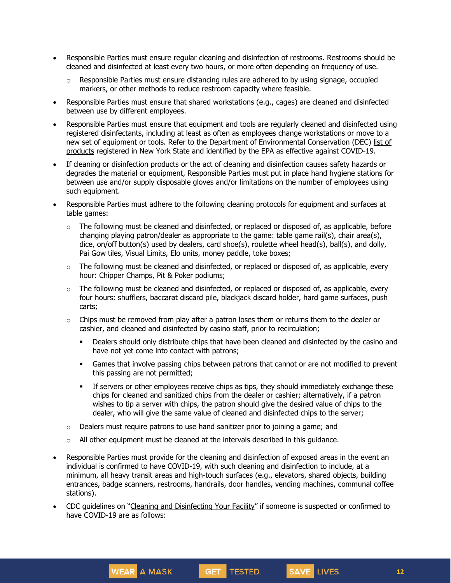- Responsible Parties must ensure regular cleaning and disinfection of restrooms. Restrooms should be cleaned and disinfected at least every two hours, or more often depending on frequency of use.
	- $\circ$  Responsible Parties must ensure distancing rules are adhered to by using signage, occupied markers, or other methods to reduce restroom capacity where feasible.
- Responsible Parties must ensure that shared workstations (e.g., cages) are cleaned and disinfected between use by different employees.
- Responsible Parties must ensure that equipment and tools are regularly cleaned and disinfected using registered disinfectants, including at least as often as employees change workstations or move to a new set of equipment or tools. Refer to the Department of Environmental Conservation (DEC) [list](http://www.dec.ny.gov/docs/materials_minerals_pdf/covid19.pdf) of [products](http://www.dec.ny.gov/docs/materials_minerals_pdf/covid19.pdf) registered in New York State and identified by the EPA as effective against COVID-19.
- If cleaning or disinfection products or the act of cleaning and disinfection causes safety hazards or degrades the material or equipment, Responsible Parties must put in place hand hygiene stations for between use and/or supply disposable gloves and/or limitations on the number of employees using such equipment.
- Responsible Parties must adhere to the following cleaning protocols for equipment and surfaces at table games:
	- o The following must be cleaned and disinfected, or replaced or disposed of, as applicable, before changing playing patron/dealer as appropriate to the game: table game rail(s), chair area(s), dice, on/off button(s) used by dealers, card shoe(s), roulette wheel head(s), ball(s), and dolly, Pai Gow tiles, Visual Limits, Elo units, money paddle, toke boxes;
	- $\circ$  The following must be cleaned and disinfected, or replaced or disposed of, as applicable, every hour: Chipper Champs, Pit & Poker podiums;
	- $\circ$  The following must be cleaned and disinfected, or replaced or disposed of, as applicable, every four hours: shufflers, baccarat discard pile, blackjack discard holder, hard game surfaces, push carts;
	- $\circ$  Chips must be removed from play after a patron loses them or returns them to the dealer or cashier, and cleaned and disinfected by casino staff, prior to recirculation;
		- **•** Dealers should only distribute chips that have been cleaned and disinfected by the casino and have not yet come into contact with patrons;
		- **■** Games that involve passing chips between patrons that cannot or are not modified to prevent this passing are not permitted;
		- **•** If servers or other employees receive chips as tips, they should immediately exchange these chips for cleaned and sanitized chips from the dealer or cashier; alternatively, if a patron wishes to tip a server with chips, the patron should give the desired value of chips to the dealer, who will give the same value of cleaned and disinfected chips to the server;
	- $\circ$  Dealers must require patrons to use hand sanitizer prior to joining a game; and
	- $\circ$  All other equipment must be cleaned at the intervals described in this quidance.

WEAR A MASK.

- Responsible Parties must provide for the cleaning and disinfection of exposed areas in the event an individual is confirmed to have COVID-19, with such cleaning and disinfection to include, at a minimum, all heavy transit areas and high-touch surfaces (e.g., elevators, shared objects, building entrances, badge scanners, restrooms, handrails, door handles, vending machines, communal coffee stations).
- CDC guidelines on "Cleaning and [Disinfecting](https://www.cdc.gov/coronavirus/2019-ncov/community/disinfecting-building-facility.html) Your Facility" if someone is suspected or confirmed to have COVID-19 are as follows:

GET TESTED.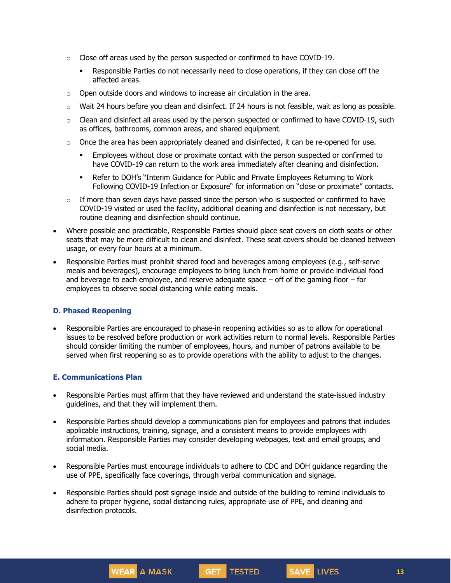- $\circ$  Close off areas used by the person suspected or confirmed to have COVID-19.
	- Responsible Parties do not necessarily need to close operations, if they can close off the affected areas.
- o Open outside doors and windows to increase air circulation in the area.
- $\circ$  Wait 24 hours before you clean and disinfect. If 24 hours is not feasible, wait as long as possible.
- $\circ$  Clean and disinfect all areas used by the person suspected or confirmed to have COVID-19, such as offices, bathrooms, common areas, and shared equipment.
- $\circ$  Once the area has been appropriately cleaned and disinfected, it can be re-opened for use.
	- **Employees without close or proximate contact with the person suspected or confirmed to** have COVID-19 can return to the work area immediately after cleaning and disinfection.
	- Refer to DOH's "Interim Guidance for Public and Private [Employees](https://coronavirus.health.ny.gov/system/files/documents/2020/06/doh_covid19_publicprivateemployeereturntowork_053120.pdf) Returning to Work Following [COVID-19](https://coronavirus.health.ny.gov/system/files/documents/2020/06/doh_covid19_publicprivateemployeereturntowork_053120.pdf) Infection or Exposure" for information on "close or proximate" contacts.
- $\circ$  If more than seven days have passed since the person who is suspected or confirmed to have COVID-19 visited or used the facility, additional cleaning and disinfection is not necessary, but routine cleaning and disinfection should continue.
- Where possible and practicable, Responsible Parties should place seat covers on cloth seats or other seats that may be more difficult to clean and disinfect. These seat covers should be cleaned between usage, or every four hours at a minimum.
- Responsible Parties must prohibit shared food and beverages among employees (e.g., self-serve meals and beverages), encourage employees to bring lunch from home or provide individual food and beverage to each employee, and reserve adequate space  $-$  off of the gaming floor  $-$  for employees to observe social distancing while eating meals.

### **D. Phased Reopening**

• Responsible Parties are encouraged to phase-in reopening activities so as to allow for operational issues to be resolved before production or work activities return to normal levels. Responsible Parties should consider limiting the number of employees, hours, and number of patrons available to be served when first reopening so as to provide operations with the ability to adjust to the changes.

### **E. Communications Plan**

- Responsible Parties must affirm that they have reviewed and understand the state-issued industry guidelines, and that they will implement them.
- Responsible Parties should develop a communications plan for employees and patrons that includes applicable instructions, training, signage, and a consistent means to provide employees with information. Responsible Parties may consider developing webpages, text and email groups, and social media.
- Responsible Parties must encourage individuals to adhere to CDC and DOH guidance regarding the use of PPE, specifically face coverings, through verbal communication and signage.
- Responsible Parties should post signage inside and outside of the building to remind individuals to adhere to proper hygiene, social distancing rules, appropriate use of PPE, and cleaning and disinfection protocols.

GET TESTED.

SAVE LIVES.

WEAR A MASK.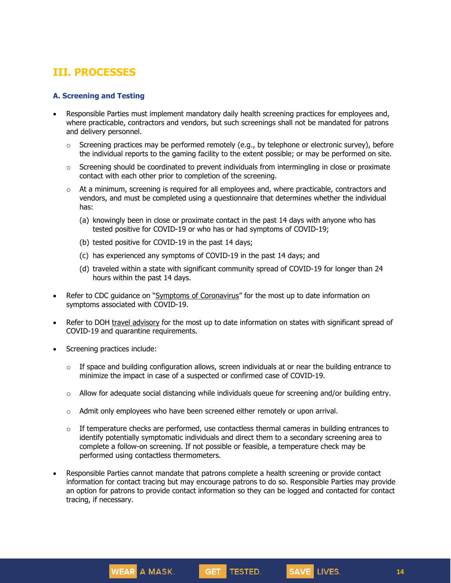# **III. PROCESSES**

#### **A. Screening and Testing**

- Responsible Parties must implement mandatory daily health screening practices for employees and, where practicable, contractors and vendors, but such screenings shall not be mandated for patrons and delivery personnel.
	- $\circ$  Screening practices may be performed remotely (e.g., by telephone or electronic survey), before the individual reports to the gaming facility to the extent possible; or may be performed on site.
	- $\circ$  Screening should be coordinated to prevent individuals from intermingling in close or proximate contact with each other prior to completion of the screening.
	- $\circ$  At a minimum, screening is required for all employees and, where practicable, contractors and vendors, and must be completed using a questionnaire that determines whether the individual has:
		- (a) knowingly been in close or proximate contact in the past 14 days with anyone who has tested positive for COVID-19 or who has or had symptoms of COVID-19;
		- (b) tested positive for COVID-19 in the past 14 days;

WEAR A MASK.

- (c) has experienced any symptoms of COVID-19 in the past 14 days; and
- (d) traveled within a state with significant community spread of COVID-19 for longer than 24 hours within the past 14 days.
- Refer to CDC guidance on "Symptoms of [Coronavirus](https://www.cdc.gov/coronavirus/2019-ncov/symptoms-testing/symptoms.html)" for the most up to date information on symptoms associated with COVID-19.
- Refer to DOH travel [advisory](https://coronavirus.health.ny.gov/covid-19-travel-advisory) for the most up to date information on states with significant spread of COVID-19 and quarantine requirements.
- Screening practices include:
	- $\circ$  If space and building configuration allows, screen individuals at or near the building entrance to minimize the impact in case of a suspected or confirmed case of COVID-19.
	- $\circ$  Allow for adequate social distancing while individuals queue for screening and/or building entry.
	- $\circ$  Admit only employees who have been screened either remotely or upon arrival.
	- $\circ$  If temperature checks are performed, use contactless thermal cameras in building entrances to identify potentially symptomatic individuals and direct them to a secondary screening area to complete a follow-on screening. If not possible or feasible, a temperature check may be performed using contactless thermometers.
- Responsible Parties cannot mandate that patrons complete a health screening or provide contact information for contact tracing but may encourage patrons to do so. Responsible Parties may provide an option for patrons to provide contact information so they can be logged and contacted for contact tracing, if necessary.

GET TESTED.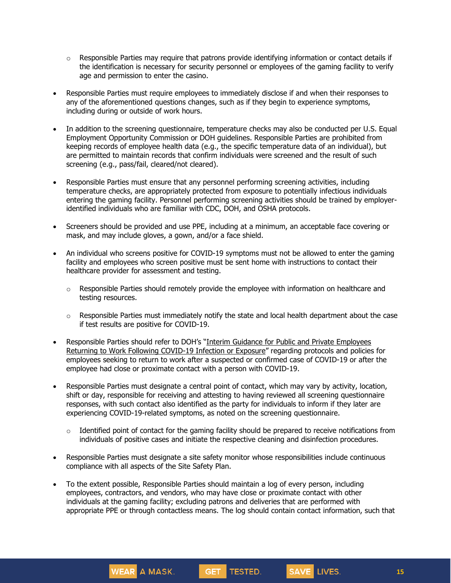- $\circ$  Responsible Parties may require that patrons provide identifying information or contact details if the identification is necessary for security personnel or employees of the gaming facility to verify age and permission to enter the casino.
- Responsible Parties must require employees to immediately disclose if and when their responses to any of the aforementioned questions changes, such as if they begin to experience symptoms, including during or outside of work hours.
- In addition to the screening questionnaire, temperature checks may also be conducted per U.S. Equal Employment Opportunity Commission or DOH guidelines. Responsible Parties are prohibited from keeping records of employee health data (e.g., the specific temperature data of an individual), but are permitted to maintain records that confirm individuals were screened and the result of such screening (e.g., pass/fail, cleared/not cleared).
- Responsible Parties must ensure that any personnel performing screening activities, including temperature checks, are appropriately protected from exposure to potentially infectious individuals entering the gaming facility. Personnel performing screening activities should be trained by employeridentified individuals who are familiar with CDC, DOH, and OSHA protocols.
- Screeners should be provided and use PPE, including at a minimum, an acceptable face covering or mask, and may include gloves, a gown, and/or a face shield.
- An individual who screens positive for COVID-19 symptoms must not be allowed to enter the gaming facility and employees who screen positive must be sent home with instructions to contact their healthcare provider for assessment and testing.
	- $\circ$  Responsible Parties should remotely provide the employee with information on healthcare and testing resources.
	- o Responsible Parties must immediately notify the state and local health department about the case if test results are positive for COVID-19.
- Responsible Parties should refer to DOH's "Interim Guidance for Public and Private [Employees](https://coronavirus.health.ny.gov/system/files/documents/2020/06/doh_covid19_publicprivateemployeereturntowork_053120.pdf) Returning to Work Following [COVID-19](https://coronavirus.health.ny.gov/system/files/documents/2020/06/doh_covid19_publicprivateemployeereturntowork_053120.pdf) Infection or Exposure" regarding protocols and policies for employees seeking to return to work after a suspected or confirmed case of COVID-19 or after the employee had close or proximate contact with a person with COVID-19.
- Responsible Parties must designate a central point of contact, which may vary by activity, location, shift or day, responsible for receiving and attesting to having reviewed all screening questionnaire responses, with such contact also identified as the party for individuals to inform if they later are experiencing COVID-19-related symptoms, as noted on the screening questionnaire.
	- $\circ$  Identified point of contact for the gaming facility should be prepared to receive notifications from individuals of positive cases and initiate the respective cleaning and disinfection procedures.
- Responsible Parties must designate a site safety monitor whose responsibilities include continuous compliance with all aspects of the Site Safety Plan.
- To the extent possible, Responsible Parties should maintain a log of every person, including employees, contractors, and vendors, who may have close or proximate contact with other individuals at the gaming facility; excluding patrons and deliveries that are performed with appropriate PPE or through contactless means. The log should contain contact information, such that

GET TESTED.

SAVE LIVES.

WEAR A MASK.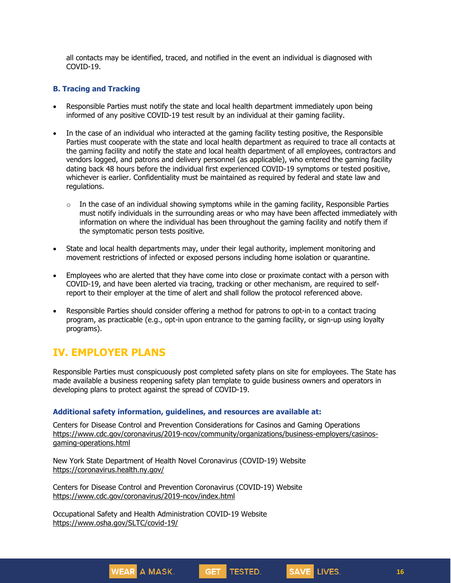all contacts may be identified, traced, and notified in the event an individual is diagnosed with COVID-19.

#### **B. Tracing and Tracking**

- Responsible Parties must notify the state and local health department immediately upon being informed of any positive COVID-19 test result by an individual at their gaming facility.
- In the case of an individual who interacted at the gaming facility testing positive, the Responsible Parties must cooperate with the state and local health department as required to trace all contacts at the gaming facility and notify the state and local health department of all employees, contractors and vendors logged, and patrons and delivery personnel (as applicable), who entered the gaming facility dating back 48 hours before the individual first experienced COVID-19 symptoms or tested positive, whichever is earlier. Confidentiality must be maintained as required by federal and state law and regulations.
	- $\circ$  In the case of an individual showing symptoms while in the gaming facility, Responsible Parties must notify individuals in the surrounding areas or who may have been affected immediately with information on where the individual has been throughout the gaming facility and notify them if the symptomatic person tests positive.
- State and local health departments may, under their legal authority, implement monitoring and movement restrictions of infected or exposed persons including home isolation or quarantine.
- Employees who are alerted that they have come into close or proximate contact with a person with COVID-19, and have been alerted via tracing, tracking or other mechanism, are required to selfreport to their employer at the time of alert and shall follow the protocol referenced above.
- Responsible Parties should consider offering a method for patrons to opt-in to a contact tracing program, as practicable (e.g., opt-in upon entrance to the gaming facility, or sign-up using loyalty programs).

# **IV. EMPLOYER PLANS**

Responsible Parties must conspicuously post completed safety plans on site for employees. The State has made available a business reopening safety plan template to guide business owners and operators in developing plans to protect against the spread of COVID-19.

#### **Additional safety information, guidelines, and resources are available at:**

Centers for Disease Control and Prevention Considerations for Casinos and Gaming Operations [https://www.cdc.gov/coronavirus/2019-ncov/community/organizations/business-employers/casinos](https://www.cdc.gov/coronavirus/2019-ncov/community/organizations/business-employers/casinos-gaming-operations.html)[gaming-operations.html](https://www.cdc.gov/coronavirus/2019-ncov/community/organizations/business-employers/casinos-gaming-operations.html)

GET TESTED.

New York State Department of Health Novel Coronavirus (COVID-19) Website <https://coronavirus.health.ny.gov/>

Centers for Disease Control and Prevention Coronavirus (COVID-19) Website <https://www.cdc.gov/coronavirus/2019-ncov/index.html>

Occupational Safety and Health Administration COVID-19 Website <https://www.osha.gov/SLTC/covid-19/>

WEAR A MASK.